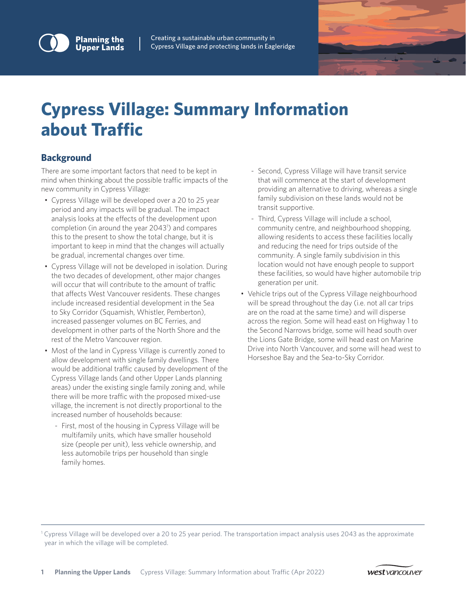

Creating a sustainable urban community in Cypress Village and protecting lands in Eagleridge



# **Cypress Village: Summary Information about Traffic**

# **Background**

There are some important factors that need to be kept in mind when thinking about the possible traffic impacts of the new community in Cypress Village:

- Cypress Village will be developed over a 20 to 25 year period and any impacts will be gradual. The impact analysis looks at the effects of the development upon completion (in around the year 2043<sup>1</sup>) and compares this to the present to show the total change, but it is important to keep in mind that the changes will actually be gradual, incremental changes over time.
- Cypress Village will not be developed in isolation. During the two decades of development, other major changes will occur that will contribute to the amount of traffic that affects West Vancouver residents. These changes include increased residential development in the Sea to Sky Corridor (Squamish, Whistler, Pemberton), increased passenger volumes on BC Ferries, and development in other parts of the North Shore and the rest of the Metro Vancouver region.
- Most of the land in Cypress Village is currently zoned to allow development with single family dwellings. There would be additional traffic caused by development of the Cypress Village lands (and other Upper Lands planning areas) under the existing single family zoning and, while there will be more traffic with the proposed mixed-use village, the increment is not directly proportional to the increased number of households because:
	- First, most of the housing in Cypress Village will be multifamily units, which have smaller household size (people per unit), less vehicle ownership, and less automobile trips per household than single family homes.
- Second, Cypress Village will have transit service that will commence at the start of development providing an alternative to driving, whereas a single family subdivision on these lands would not be transit supportive.
- Third, Cypress Village will include a school, community centre, and neighbourhood shopping, allowing residents to access these facilities locally and reducing the need for trips outside of the community. A single family subdivision in this location would not have enough people to support these facilities, so would have higher automobile trip generation per unit.
- Vehicle trips out of the Cypress Village neighbourhood will be spread throughout the day (i.e. not all car trips are on the road at the same time) and will disperse across the region. Some will head east on Highway 1 to the Second Narrows bridge, some will head south over the Lions Gate Bridge, some will head east on Marine Drive into North Vancouver, and some will head west to Horseshoe Bay and the Sea-to-Sky Corridor.

1 Cypress Village will be developed over a 20 to 25 year period. The transportation impact analysis uses 2043 as the approximate year in which the village will be completed.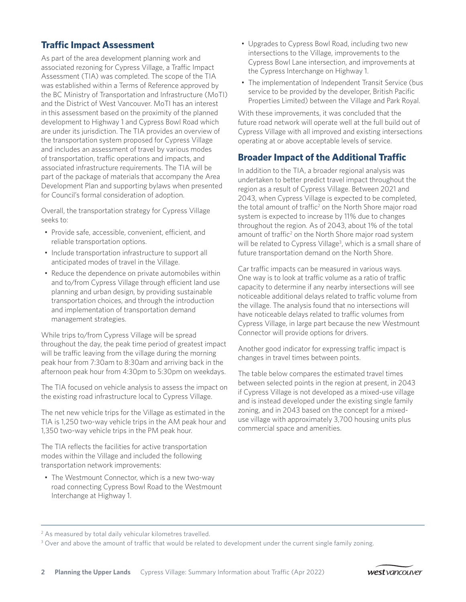# **Traffic Impact Assessment**

As part of the area development planning work and associated rezoning for Cypress Village, a Traffic Impact Assessment (TIA) was completed. The scope of the TIA was established within a Terms of Reference approved by the BC Ministry of Transportation and Infrastructure (MoTI) and the District of West Vancouver. MoTI has an interest in this assessment based on the proximity of the planned development to Highway 1 and Cypress Bowl Road which are under its jurisdiction. The TIA provides an overview of the transportation system proposed for Cypress Village and includes an assessment of travel by various modes of transportation, traffic operations and impacts, and associated infrastructure requirements. The TIA will be part of the package of materials that accompany the Area Development Plan and supporting bylaws when presented for Council's formal consideration of adoption.

Overall, the transportation strategy for Cypress Village seeks to:

- Provide safe, accessible, convenient, efficient, and reliable transportation options.
- Include transportation infrastructure to support all anticipated modes of travel in the Village.
- Reduce the dependence on private automobiles within and to/from Cypress Village through efficient land use planning and urban design, by providing sustainable transportation choices, and through the introduction and implementation of transportation demand management strategies.

While trips to/from Cypress Village will be spread throughout the day, the peak time period of greatest impact will be traffic leaving from the village during the morning peak hour from 7:30am to 8:30am and arriving back in the afternoon peak hour from 4:30pm to 5:30pm on weekdays.

The TIA focused on vehicle analysis to assess the impact on the existing road infrastructure local to Cypress Village.

The net new vehicle trips for the Village as estimated in the TIA is 1,250 two-way vehicle trips in the AM peak hour and 1,350 two-way vehicle trips in the PM peak hour.

The TIA reflects the facilities for active transportation modes within the Village and included the following transportation network improvements:

• The Westmount Connector, which is a new two-way road connecting Cypress Bowl Road to the Westmount Interchange at Highway 1.

- Upgrades to Cypress Bowl Road, including two new intersections to the Village, improvements to the Cypress Bowl Lane intersection, and improvements at the Cypress Interchange on Highway 1.
- The implementation of Independent Transit Service (bus service to be provided by the developer, British Pacific Properties Limited) between the Village and Park Royal.

With these improvements, it was concluded that the future road network will operate well at the full build out of Cypress Village with all improved and existing intersections operating at or above acceptable levels of service.

# **Broader Impact of the Additional Traffic**

In addition to the TIA, a broader regional analysis was undertaken to better predict travel impact throughout the region as a result of Cypress Village. Between 2021 and 2043, when Cypress Village is expected to be completed, the total amount of traffic<sup>2</sup> on the North Shore major road system is expected to increase by 11% due to changes throughout the region. As of 2043, about 1% of the total amount of traffic<sup>2</sup> on the North Shore major road system will be related to Cypress Village<sup>3</sup>, which is a small share of future transportation demand on the North Shore.

Car traffic impacts can be measured in various ways. One way is to look at traffic volume as a ratio of traffic capacity to determine if any nearby intersections will see noticeable additional delays related to traffic volume from the village. The analysis found that no intersections will have noticeable delays related to traffic volumes from Cypress Village, in large part because the new Westmount Connector will provide options for drivers.

Another good indicator for expressing traffic impact is changes in travel times between points.

The table below compares the estimated travel times between selected points in the region at present, in 2043 if Cypress Village is not developed as a mixed-use village and is instead developed under the existing single family zoning, and in 2043 based on the concept for a mixeduse village with approximately 3,700 housing units plus commercial space and amenities.

<sup>3</sup> Over and above the amount of traffic that would be related to development under the current single family zoning.

<sup>&</sup>lt;sup>2</sup> As measured by total daily vehicular kilometres travelled.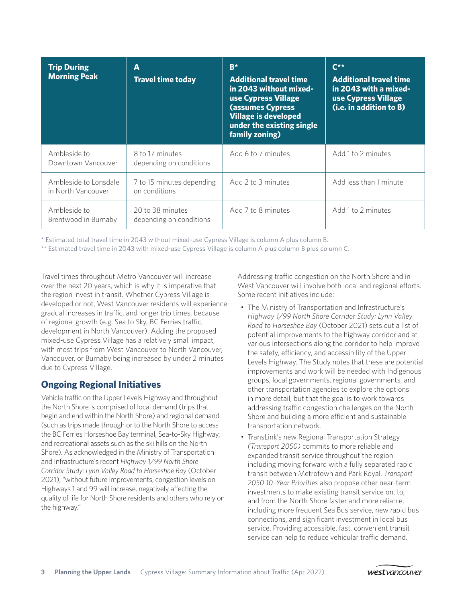| <b>Trip During</b><br><b>Morning Peak</b>   | A<br><b>Travel time today</b>               | $B^{\star}$<br><b>Additional travel time</b><br>in 2043 without mixed-<br>use Cypress Village<br><b>(assumes Cypress</b><br><b>Village is developed</b><br>under the existing single<br>family zoning) | $C^{\star\star}$<br><b>Additional travel time</b><br>in 2043 with a mixed-<br>use Cypress Village<br>(i.e. in addition to B) |
|---------------------------------------------|---------------------------------------------|--------------------------------------------------------------------------------------------------------------------------------------------------------------------------------------------------------|------------------------------------------------------------------------------------------------------------------------------|
| Ambleside to<br>Downtown Vancouver          | 8 to 17 minutes<br>depending on conditions  | Add 6 to 7 minutes                                                                                                                                                                                     | Add 1 to 2 minutes                                                                                                           |
| Ambleside to Lonsdale<br>in North Vancouver | 7 to 15 minutes depending<br>on conditions  | Add 2 to 3 minutes                                                                                                                                                                                     | Add less than 1 minute                                                                                                       |
| Ambleside to<br>Brentwood in Burnaby        | 20 to 38 minutes<br>depending on conditions | Add 7 to 8 minutes                                                                                                                                                                                     | Add 1 to 2 minutes                                                                                                           |

\* Estimated total travel time in 2043 without mixed-use Cypress Village is column A plus column B.

\*\* Estimated travel time in 2043 with mixed-use Cypress Village is column A plus column B plus column C.

Travel times throughout Metro Vancouver will increase over the next 20 years, which is why it is imperative that the region invest in transit. Whether Cypress Village is developed or not, West Vancouver residents will experience gradual increases in traffic, and longer trip times, because of regional growth (e.g. Sea to Sky, BC Ferries traffic, development in North Vancouver). Adding the proposed mixed-use Cypress Village has a relatively small impact, with most trips from West Vancouver to North Vancouver, Vancouver, or Burnaby being increased by under 2 minutes due to Cypress Village.

# **Ongoing Regional Initiatives**

Vehicle traffic on the Upper Levels Highway and throughout the North Shore is comprised of local demand (trips that begin and end within the North Shore) and regional demand (such as trips made through or to the North Shore to access the BC Ferries Horseshoe Bay terminal, Sea-to-Sky Highway, and recreational assets such as the ski hills on the North Shore). As acknowledged in the Ministry of Transportation and Infrastructure's recent *Highway 1/99 North Shore Corridor Study: Lynn Valley Road to Horseshoe Bay* (October 2021), "without future improvements, congestion levels on Highways 1 and 99 will increase, negatively affecting the quality of life for North Shore residents and others who rely on the highway."

Addressing traffic congestion on the North Shore and in West Vancouver will involve both local and regional efforts. Some recent initiatives include:

- The Ministry of Transportation and Infrastructure's *Highway 1/99 North Shore Corridor Study: Lynn Valley Road to Horseshoe Bay* (October 2021) sets out a list of potential improvements to the highway corridor and at various intersections along the corridor to help improve the safety, efficiency, and accessibility of the Upper Levels Highway. The Study notes that these are potential improvements and work will be needed with Indigenous groups, local governments, regional governments, and other transportation agencies to explore the options in more detail, but that the goal is to work towards addressing traffic congestion challenges on the North Shore and building a more efficient and sustainable transportation network.
- TransLink's new Regional Transportation Strategy *(Transport 2050)* commits to more reliable and expanded transit service throughout the region including moving forward with a fully separated rapid transit between Metrotown and Park Royal. *Transport 2050 10–Year Priorities* also propose other near-term investments to make existing transit service on, to, and from the North Shore faster and more reliable, including more frequent Sea Bus service, new rapid bus connections, and significant investment in local bus service. Providing accessible, fast, convenient transit service can help to reduce vehicular traffic demand.